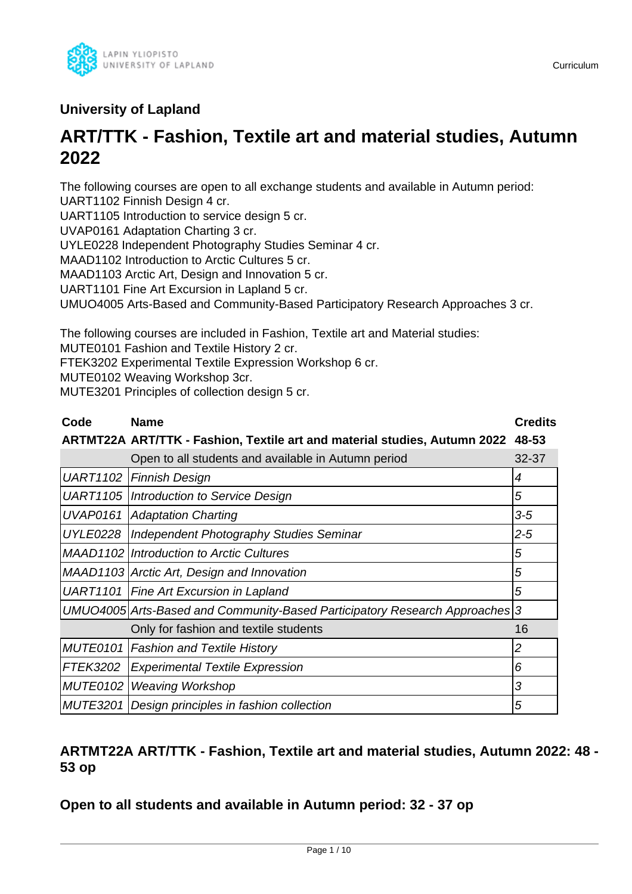

## **University of Lapland**

# **ART/TTK - Fashion, Textile art and material studies, Autumn 2022**

The following courses are open to all exchange students and available in Autumn period: UART1102 Finnish Design 4 cr.

UART1105 Introduction to service design 5 cr.

UVAP0161 Adaptation Charting 3 cr.

UYLE0228 Independent Photography Studies Seminar 4 cr.

MAAD1102 Introduction to Arctic Cultures 5 cr.

MAAD1103 Arctic Art, Design and Innovation 5 cr.

UART1101 Fine Art Excursion in Lapland 5 cr.

UMUO4005 Arts-Based and Community-Based Participatory Research Approaches 3 cr.

The following courses are included in Fashion, Textile art and Material studies:

MUTE0101 Fashion and Textile History 2 cr.

FTEK3202 Experimental Textile Expression Workshop 6 cr.

MUTE0102 Weaving Workshop 3cr.

MUTE3201 Principles of collection design 5 cr.

| Code            | <b>Name</b>                                                                 | <b>Credits</b> |
|-----------------|-----------------------------------------------------------------------------|----------------|
|                 | ARTMT22A ART/TTK - Fashion, Textile art and material studies, Autumn 2022   | 48-53          |
|                 | Open to all students and available in Autumn period                         | $32 - 37$      |
|                 | UART1102   Finnish Design                                                   | 4              |
|                 | UART1105   Introduction to Service Design                                   | 5              |
|                 | <b>UVAP0161   Adaptation Charting</b>                                       | $3-5$          |
| <b>UYLE0228</b> | Independent Photography Studies Seminar                                     | $2 - 5$        |
|                 | <b>MAAD1102 Introduction to Arctic Cultures</b>                             | 5              |
|                 | MAAD1103 Arctic Art, Design and Innovation                                  | 5              |
|                 | UART1101   Fine Art Excursion in Lapland                                    | 5              |
|                 | UMUO4005 Arts-Based and Community-Based Participatory Research Approaches 3 |                |
|                 | Only for fashion and textile students                                       | 16             |
|                 | <b>MUTE0101   Fashion and Textile History</b>                               | 2              |
| <b>FTEK3202</b> | <b>Experimental Textile Expression</b>                                      | 6              |
| <b>MUTE0102</b> | <b>Weaving Workshop</b>                                                     | 3              |
| <b>MUTE3201</b> | Design principles in fashion collection                                     | 5              |

## **ARTMT22A ART/TTK - Fashion, Textile art and material studies, Autumn 2022: 48 - 53 op**

**Open to all students and available in Autumn period: 32 - 37 op**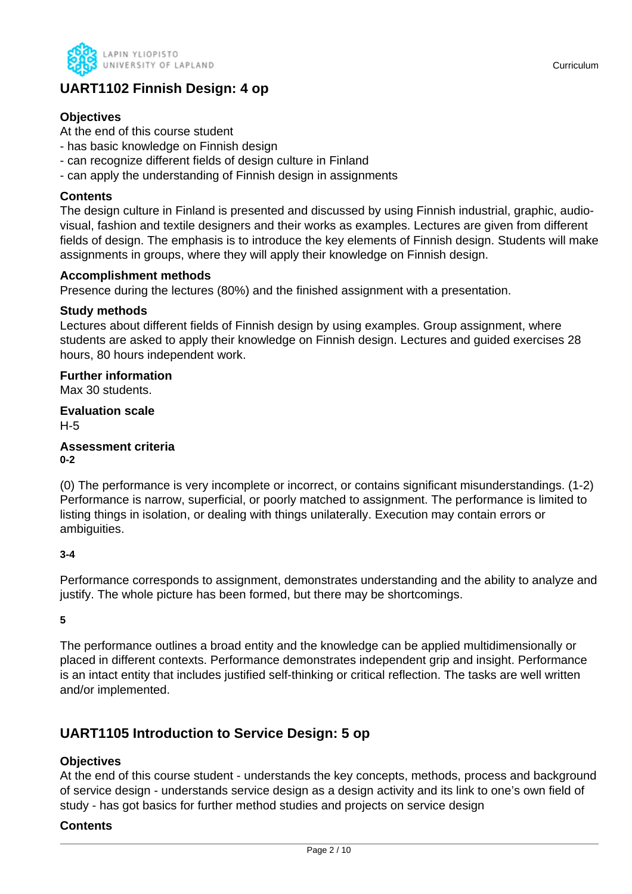

## **UART1102 Finnish Design: 4 op**

### **Objectives**

At the end of this course student

- has basic knowledge on Finnish design
- can recognize different fields of design culture in Finland
- can apply the understanding of Finnish design in assignments

### **Contents**

The design culture in Finland is presented and discussed by using Finnish industrial, graphic, audiovisual, fashion and textile designers and their works as examples. Lectures are given from different fields of design. The emphasis is to introduce the key elements of Finnish design. Students will make assignments in groups, where they will apply their knowledge on Finnish design.

### **Accomplishment methods**

Presence during the lectures (80%) and the finished assignment with a presentation.

### **Study methods**

Lectures about different fields of Finnish design by using examples. Group assignment, where students are asked to apply their knowledge on Finnish design. Lectures and guided exercises 28 hours, 80 hours independent work.

### **Further information**

Max 30 students.

### **Evaluation scale**

H-5

#### **Assessment criteria 0-2**

(0) The performance is very incomplete or incorrect, or contains significant misunderstandings. (1-2) Performance is narrow, superficial, or poorly matched to assignment. The performance is limited to listing things in isolation, or dealing with things unilaterally. Execution may contain errors or ambiguities.

### **3-4**

Performance corresponds to assignment, demonstrates understanding and the ability to analyze and justify. The whole picture has been formed, but there may be shortcomings.

**5**

The performance outlines a broad entity and the knowledge can be applied multidimensionally or placed in different contexts. Performance demonstrates independent grip and insight. Performance is an intact entity that includes justified self-thinking or critical reflection. The tasks are well written and/or implemented.

## **UART1105 Introduction to Service Design: 5 op**

### **Objectives**

At the end of this course student - understands the key concepts, methods, process and background of service design - understands service design as a design activity and its link to one's own field of study - has got basics for further method studies and projects on service design

### **Contents**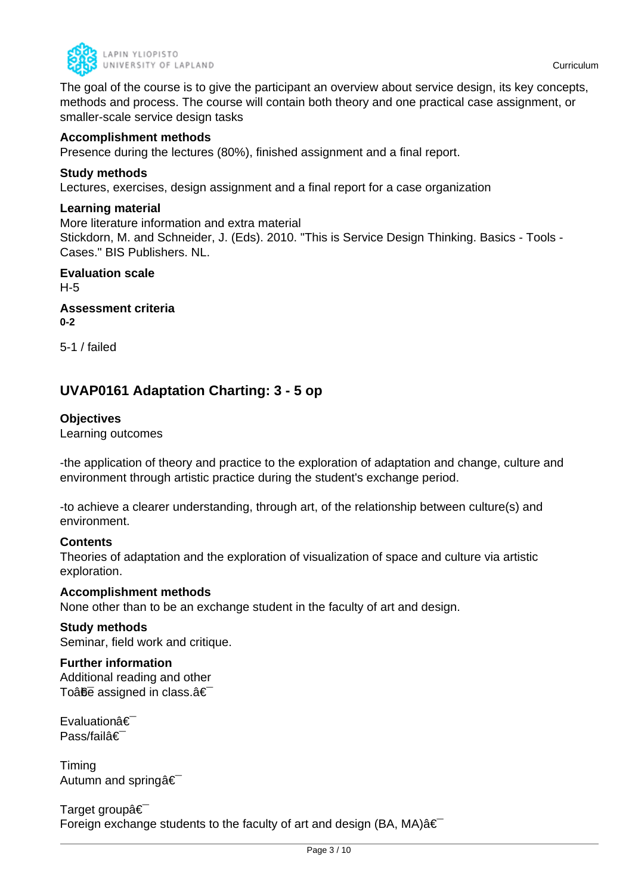

The goal of the course is to give the participant an overview about service design, its key concepts, methods and process. The course will contain both theory and one practical case assignment, or smaller-scale service design tasks

### **Accomplishment methods**

Presence during the lectures (80%), finished assignment and a final report.

#### **Study methods**

Lectures, exercises, design assignment and a final report for a case organization

### **Learning material**

More literature information and extra material

Stickdorn, M. and Schneider, J. (Eds). 2010. "This is Service Design Thinking. Basics - Tools - Cases." BIS Publishers. NL.

**Evaluation scale** H-5 **Assessment criteria**

**0-2**

5-1 / failed

## **UVAP0161 Adaptation Charting: 3 - 5 op**

### **Objectives**

Learning outcomes

-the application of theory and practice to the exploration of adaptation and change, culture and environment through artistic practice during the student's exchange period.

-to achieve a clearer understanding, through art, of the relationship between culture(s) and environment.

#### **Contents**

Theories of adaptation and the exploration of visualization of space and culture via artistic exploration.

#### **Accomplishment methods**

None other than to be an exchange student in the faculty of art and design.

#### **Study methods**

Seminar, field work and critique.

#### **Further information**

Additional reading and other To $\hat{a}$  $\hat{b}$  assigned in class. $\hat{a} \in$ 

Evaluationâ€ Pass/failâ€

Timing Autumn and spring  $\hat{\mathbf{a}} \in \mathbb{R}$ 

Target group  $\hat{\epsilon}$ Foreign exchange students to the faculty of art and design (BA, MA) $\hat{a} \in \hat{a}$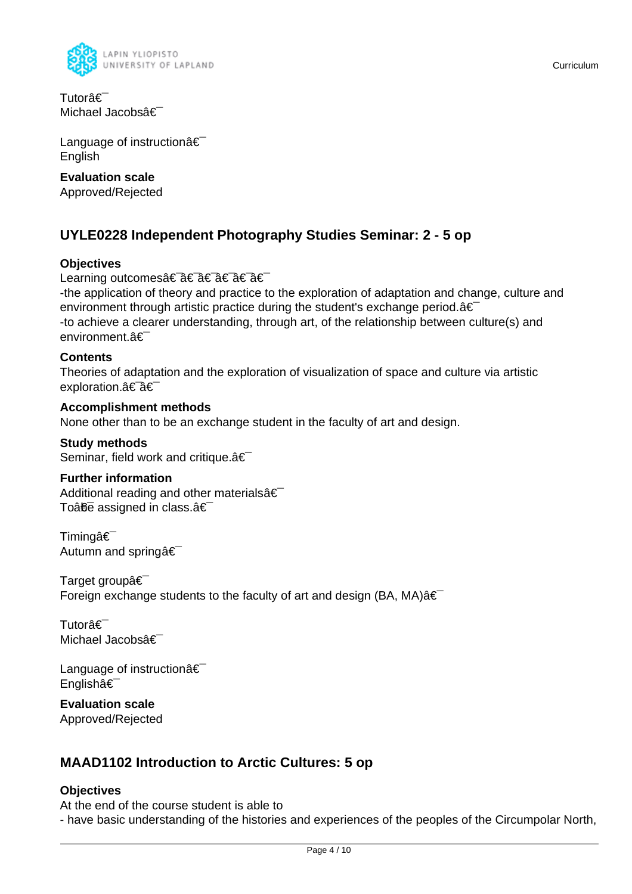

Tutorâ€<sup>-</sup> Michael Jacobsâ€

Language of instructionâ€ English

### **Evaluation scale**

Approved/Rejected

## **UYLE0228 Independent Photography Studies Seminar: 2 - 5 op**

### **Objectives**

### Learning outcomes†â€ a€ a€ a€ a€

-the application of theory and practice to the exploration of adaptation and change, culture and environment through artistic practice during the student's exchange period. $a \in$ -to achieve a clearer understanding, through art, of the relationship between culture(s) and environment.â€

### **Contents**

Theories of adaptation and the exploration of visualization of space and culture via artistic exploration.†â€

### **Accomplishment methods**

None other than to be an exchange student in the faculty of art and design.

#### **Study methods**

Seminar, field work and critique.â€

#### **Further information**

Additional reading and other materialsâ€ To $\hat{a}$ <del>fie</del> assigned in class. $\hat{a} \in \hat{a}$ 

Timingâ€<sup>-</sup> Autumn and springâ€

Target group  $\hat{\epsilon}$ Foreign exchange students to the faculty of art and design (BA, MA) $\hat{a} \in$ 

Tutorâ€<sup>-</sup> Michael Jacobsâ€

Language of instructionâ€ Englishâ€

**Evaluation scale** Approved/Rejected

## **MAAD1102 Introduction to Arctic Cultures: 5 op**

### **Objectives**

At the end of the course student is able to - have basic understanding of the histories and experiences of the peoples of the Circumpolar North,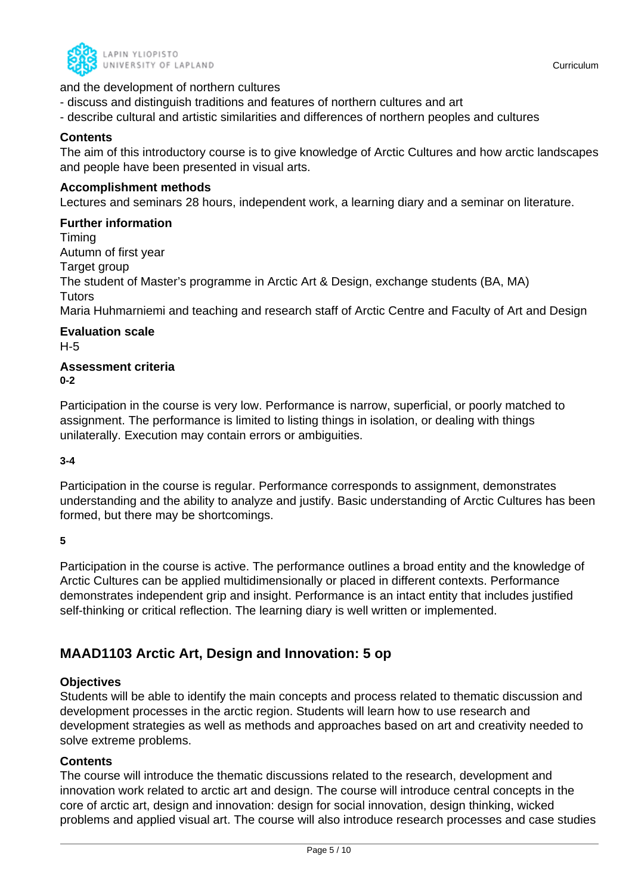

- discuss and distinguish traditions and features of northern cultures and art
- describe cultural and artistic similarities and differences of northern peoples and cultures

### **Contents**

The aim of this introductory course is to give knowledge of Arctic Cultures and how arctic landscapes and people have been presented in visual arts.

### **Accomplishment methods**

Lectures and seminars 28 hours, independent work, a learning diary and a seminar on literature.

### **Further information**

Timing Autumn of first year Target group The student of Master's programme in Arctic Art & Design, exchange students (BA, MA) **Tutors** 

Maria Huhmarniemi and teaching and research staff of Arctic Centre and Faculty of Art and Design

#### **Evaluation scale** H-5

#### **Assessment criteria 0-2**

Participation in the course is very low. Performance is narrow, superficial, or poorly matched to assignment. The performance is limited to listing things in isolation, or dealing with things unilaterally. Execution may contain errors or ambiguities.

**3-4**

Participation in the course is regular. Performance corresponds to assignment, demonstrates understanding and the ability to analyze and justify. Basic understanding of Arctic Cultures has been formed, but there may be shortcomings.

**5**

Participation in the course is active. The performance outlines a broad entity and the knowledge of Arctic Cultures can be applied multidimensionally or placed in different contexts. Performance demonstrates independent grip and insight. Performance is an intact entity that includes justified self-thinking or critical reflection. The learning diary is well written or implemented.

## **MAAD1103 Arctic Art, Design and Innovation: 5 op**

### **Objectives**

Students will be able to identify the main concepts and process related to thematic discussion and development processes in the arctic region. Students will learn how to use research and development strategies as well as methods and approaches based on art and creativity needed to solve extreme problems.

### **Contents**

The course will introduce the thematic discussions related to the research, development and innovation work related to arctic art and design. The course will introduce central concepts in the core of arctic art, design and innovation: design for social innovation, design thinking, wicked problems and applied visual art. The course will also introduce research processes and case studies

Curriculum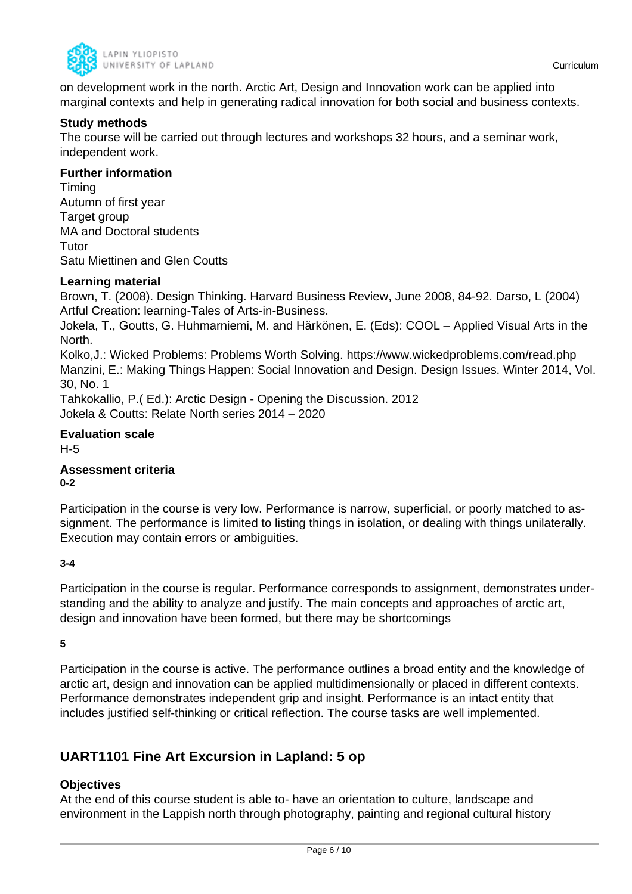

on development work in the north. Arctic Art, Design and Innovation work can be applied into marginal contexts and help in generating radical innovation for both social and business contexts.

### **Study methods**

The course will be carried out through lectures and workshops 32 hours, and a seminar work, independent work.

### **Further information**

Timing Autumn of first year Target group MA and Doctoral students **Tutor** Satu Miettinen and Glen Coutts

### **Learning material**

Brown, T. (2008). Design Thinking. Harvard Business Review, June 2008, 84-92. Darso, L (2004) Artful Creation: learning-Tales of Arts-in-Business.

Jokela, T., Goutts, G. Huhmarniemi, M. and Härkönen, E. (Eds): COOL – Applied Visual Arts in the North.

Kolko,J.: Wicked Problems: Problems Worth Solving. https://www.wickedproblems.com/read.php Manzini, E.: Making Things Happen: Social Innovation and Design. Design Issues. Winter 2014, Vol. 30, No. 1

Tahkokallio, P.( Ed.): Arctic Design - Opening the Discussion. 2012 Jokela & Coutts: Relate North series 2014 – 2020

## **Evaluation scale**

H-5

### **Assessment criteria 0-2**

Participation in the course is very low. Performance is narrow, superficial, or poorly matched to assignment. The performance is limited to listing things in isolation, or dealing with things unilaterally. Execution may contain errors or ambiguities.

#### **3-4**

Participation in the course is regular. Performance corresponds to assignment, demonstrates understanding and the ability to analyze and justify. The main concepts and approaches of arctic art, design and innovation have been formed, but there may be shortcomings

**5**

Participation in the course is active. The performance outlines a broad entity and the knowledge of arctic art, design and innovation can be applied multidimensionally or placed in different contexts. Performance demonstrates independent grip and insight. Performance is an intact entity that includes justified self-thinking or critical reflection. The course tasks are well implemented.

## **UART1101 Fine Art Excursion in Lapland: 5 op**

### **Objectives**

At the end of this course student is able to- have an orientation to culture, landscape and environment in the Lappish north through photography, painting and regional cultural history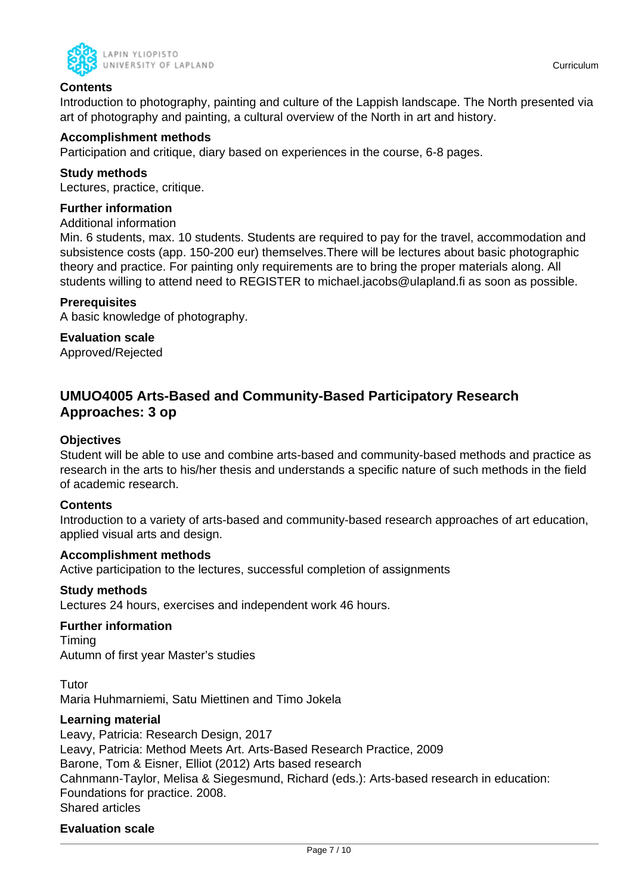



### **Contents**

Introduction to photography, painting and culture of the Lappish landscape. The North presented via art of photography and painting, a cultural overview of the North in art and history.

### **Accomplishment methods**

Participation and critique, diary based on experiences in the course, 6-8 pages.

### **Study methods**

Lectures, practice, critique.

### **Further information**

Additional information

Min. 6 students, max. 10 students. Students are required to pay for the travel, accommodation and subsistence costs (app. 150-200 eur) themselves.There will be lectures about basic photographic theory and practice. For painting only requirements are to bring the proper materials along. All students willing to attend need to REGISTER to michael.jacobs@ulapland.fi as soon as possible.

### **Prerequisites**

A basic knowledge of photography.

**Evaluation scale**

Approved/Rejected

## **UMUO4005 Arts-Based and Community-Based Participatory Research Approaches: 3 op**

### **Objectives**

Student will be able to use and combine arts-based and community-based methods and practice as research in the arts to his/her thesis and understands a specific nature of such methods in the field of academic research.

#### **Contents**

Introduction to a variety of arts-based and community-based research approaches of art education, applied visual arts and design.

#### **Accomplishment methods**

Active participation to the lectures, successful completion of assignments

#### **Study methods**

Lectures 24 hours, exercises and independent work 46 hours.

#### **Further information**

Timing Autumn of first year Master's studies

Tutor Maria Huhmarniemi, Satu Miettinen and Timo Jokela

#### **Learning material**

Leavy, Patricia: Research Design, 2017 Leavy, Patricia: Method Meets Art. Arts-Based Research Practice, 2009 Barone, Tom & Eisner, Elliot (2012) Arts based research Cahnmann-Taylor, Melisa & Siegesmund, Richard (eds.): Arts-based research in education: Foundations for practice. 2008. Shared articles

### **Evaluation scale**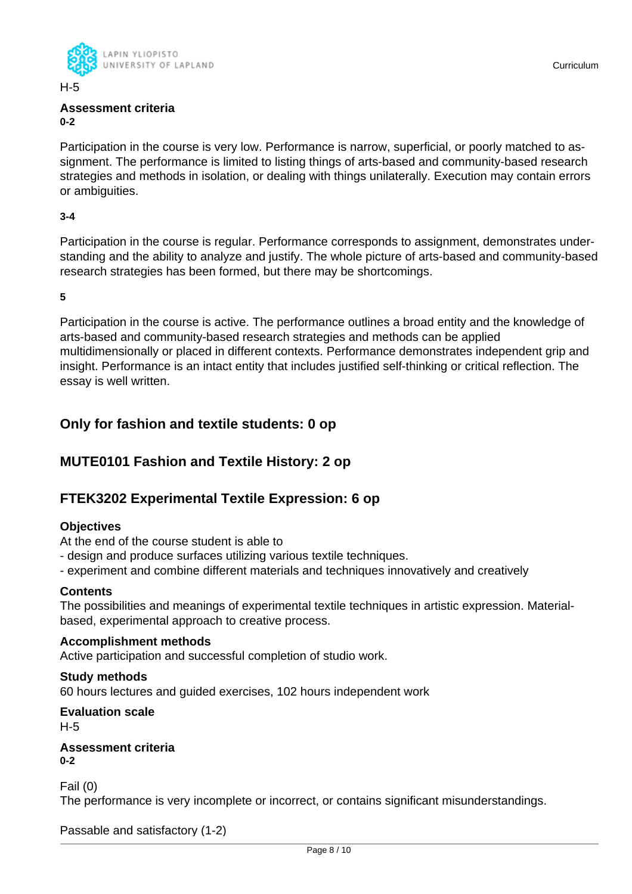

H-5

#### **Assessment criteria 0-2**

Participation in the course is very low. Performance is narrow, superficial, or poorly matched to assignment. The performance is limited to listing things of arts-based and community-based research strategies and methods in isolation, or dealing with things unilaterally. Execution may contain errors or ambiguities.

### **3-4**

Participation in the course is regular. Performance corresponds to assignment, demonstrates understanding and the ability to analyze and justify. The whole picture of arts-based and community-based research strategies has been formed, but there may be shortcomings.

**5**

Participation in the course is active. The performance outlines a broad entity and the knowledge of arts-based and community-based research strategies and methods can be applied multidimensionally or placed in different contexts. Performance demonstrates independent grip and insight. Performance is an intact entity that includes justified self-thinking or critical reflection. The essay is well written.

## **Only for fashion and textile students: 0 op**

## **MUTE0101 Fashion and Textile History: 2 op**

## **FTEK3202 Experimental Textile Expression: 6 op**

### **Objectives**

At the end of the course student is able to

- design and produce surfaces utilizing various textile techniques.
- experiment and combine different materials and techniques innovatively and creatively

### **Contents**

The possibilities and meanings of experimental textile techniques in artistic expression. Materialbased, experimental approach to creative process.

#### **Accomplishment methods**

Active participation and successful completion of studio work.

#### **Study methods**

60 hours lectures and guided exercises, 102 hours independent work

#### **Evaluation scale** H-5

**Assessment criteria 0-2**

Fail (0)

The performance is very incomplete or incorrect, or contains significant misunderstandings.

Passable and satisfactory (1-2)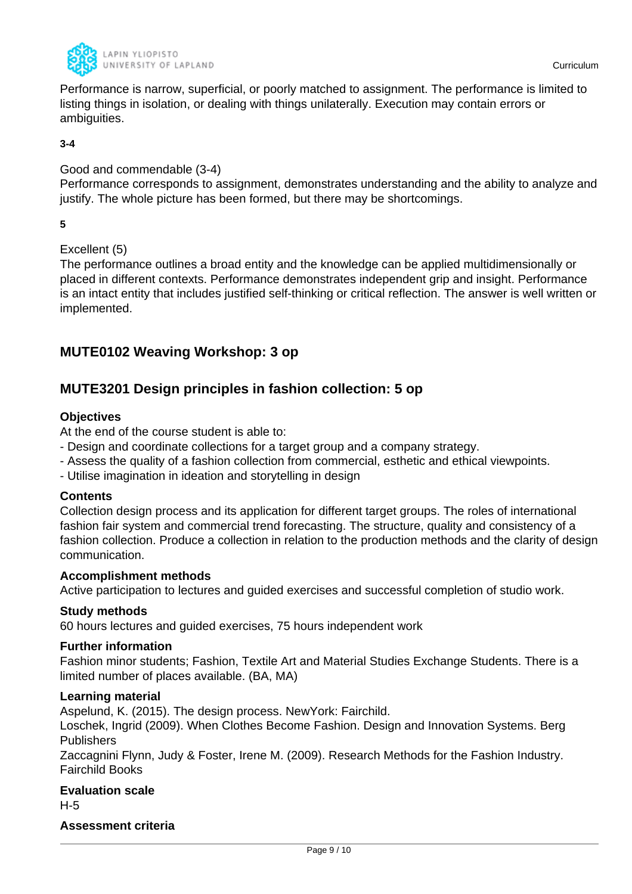

Performance is narrow, superficial, or poorly matched to assignment. The performance is limited to listing things in isolation, or dealing with things unilaterally. Execution may contain errors or ambiguities.

#### **3-4**

### Good and commendable (3-4)

Performance corresponds to assignment, demonstrates understanding and the ability to analyze and justify. The whole picture has been formed, but there may be shortcomings.

**5**

### Excellent (5)

The performance outlines a broad entity and the knowledge can be applied multidimensionally or placed in different contexts. Performance demonstrates independent grip and insight. Performance is an intact entity that includes justified self-thinking or critical reflection. The answer is well written or implemented.

## **MUTE0102 Weaving Workshop: 3 op**

## **MUTE3201 Design principles in fashion collection: 5 op**

### **Objectives**

At the end of the course student is able to:

- Design and coordinate collections for a target group and a company strategy.
- Assess the quality of a fashion collection from commercial, esthetic and ethical viewpoints.
- Utilise imagination in ideation and storytelling in design

#### **Contents**

Collection design process and its application for different target groups. The roles of international fashion fair system and commercial trend forecasting. The structure, quality and consistency of a fashion collection. Produce a collection in relation to the production methods and the clarity of design communication.

#### **Accomplishment methods**

Active participation to lectures and guided exercises and successful completion of studio work.

#### **Study methods**

60 hours lectures and guided exercises, 75 hours independent work

### **Further information**

Fashion minor students; Fashion, Textile Art and Material Studies Exchange Students. There is a limited number of places available. (BA, MA)

### **Learning material**

Aspelund, K. (2015). The design process. NewYork: Fairchild.

Loschek, Ingrid (2009). When Clothes Become Fashion. Design and Innovation Systems. Berg Publishers

Zaccagnini Flynn, Judy & Foster, Irene M. (2009). Research Methods for the Fashion Industry. Fairchild Books

### **Evaluation scale** H-5

### **Assessment criteria**